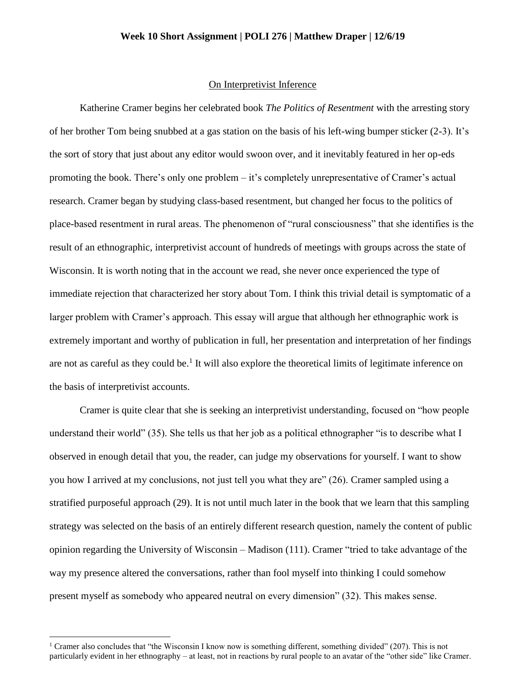## **Week 10 Short Assignment | POLI 276 | Matthew Draper | 12/6/19**

## On Interpretivist Inference

Katherine Cramer begins her celebrated book *The Politics of Resentment* with the arresting story of her brother Tom being snubbed at a gas station on the basis of his left-wing bumper sticker (2-3). It's the sort of story that just about any editor would swoon over, and it inevitably featured in her op-eds promoting the book. There's only one problem – it's completely unrepresentative of Cramer's actual research. Cramer began by studying class-based resentment, but changed her focus to the politics of place-based resentment in rural areas. The phenomenon of "rural consciousness" that she identifies is the result of an ethnographic, interpretivist account of hundreds of meetings with groups across the state of Wisconsin. It is worth noting that in the account we read, she never once experienced the type of immediate rejection that characterized her story about Tom. I think this trivial detail is symptomatic of a larger problem with Cramer's approach. This essay will argue that although her ethnographic work is extremely important and worthy of publication in full, her presentation and interpretation of her findings are not as careful as they could be.<sup>1</sup> It will also explore the theoretical limits of legitimate inference on the basis of interpretivist accounts.

Cramer is quite clear that she is seeking an interpretivist understanding, focused on "how people understand their world" (35). She tells us that her job as a political ethnographer "is to describe what I observed in enough detail that you, the reader, can judge my observations for yourself. I want to show you how I arrived at my conclusions, not just tell you what they are" (26). Cramer sampled using a stratified purposeful approach (29). It is not until much later in the book that we learn that this sampling strategy was selected on the basis of an entirely different research question, namely the content of public opinion regarding the University of Wisconsin – Madison (111). Cramer "tried to take advantage of the way my presence altered the conversations, rather than fool myself into thinking I could somehow present myself as somebody who appeared neutral on every dimension" (32). This makes sense.

 $\ddot{\phantom{a}}$ 

<sup>&</sup>lt;sup>1</sup> Cramer also concludes that "the Wisconsin I know now is something different, something divided" (207). This is not particularly evident in her ethnography – at least, not in reactions by rural people to an avatar of the "other side" like Cramer.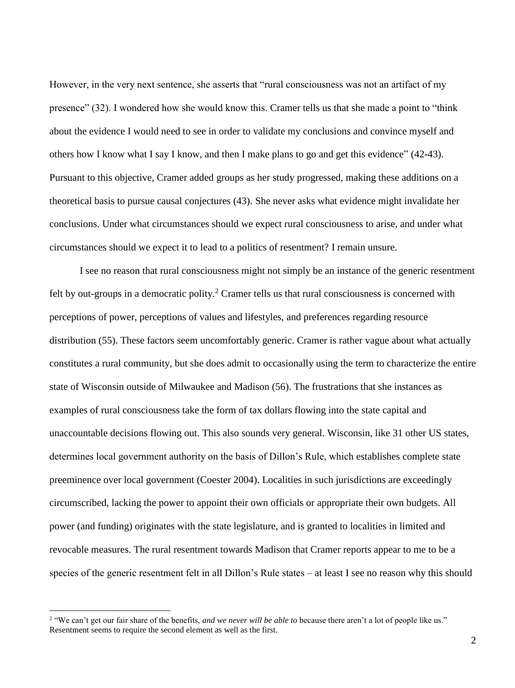However, in the very next sentence, she asserts that "rural consciousness was not an artifact of my presence" (32). I wondered how she would know this. Cramer tells us that she made a point to "think about the evidence I would need to see in order to validate my conclusions and convince myself and others how I know what I say I know, and then I make plans to go and get this evidence" (42-43). Pursuant to this objective, Cramer added groups as her study progressed, making these additions on a theoretical basis to pursue causal conjectures (43). She never asks what evidence might invalidate her conclusions. Under what circumstances should we expect rural consciousness to arise, and under what circumstances should we expect it to lead to a politics of resentment? I remain unsure.

I see no reason that rural consciousness might not simply be an instance of the generic resentment felt by out-groups in a democratic polity.<sup>2</sup> Cramer tells us that rural consciousness is concerned with perceptions of power, perceptions of values and lifestyles, and preferences regarding resource distribution (55). These factors seem uncomfortably generic. Cramer is rather vague about what actually constitutes a rural community, but she does admit to occasionally using the term to characterize the entire state of Wisconsin outside of Milwaukee and Madison (56). The frustrations that she instances as examples of rural consciousness take the form of tax dollars flowing into the state capital and unaccountable decisions flowing out. This also sounds very general. Wisconsin, like 31 other US states, determines local government authority on the basis of Dillon's Rule, which establishes complete state preeminence over local government (Coester 2004). Localities in such jurisdictions are exceedingly circumscribed, lacking the power to appoint their own officials or appropriate their own budgets. All power (and funding) originates with the state legislature, and is granted to localities in limited and revocable measures. The rural resentment towards Madison that Cramer reports appear to me to be a species of the generic resentment felt in all Dillon's Rule states – at least I see no reason why this should

 $\overline{a}$ 

<sup>2</sup> "We can't get our fair share of the benefits, *and we never will be able to* because there aren't a lot of people like us." Resentment seems to require the second element as well as the first.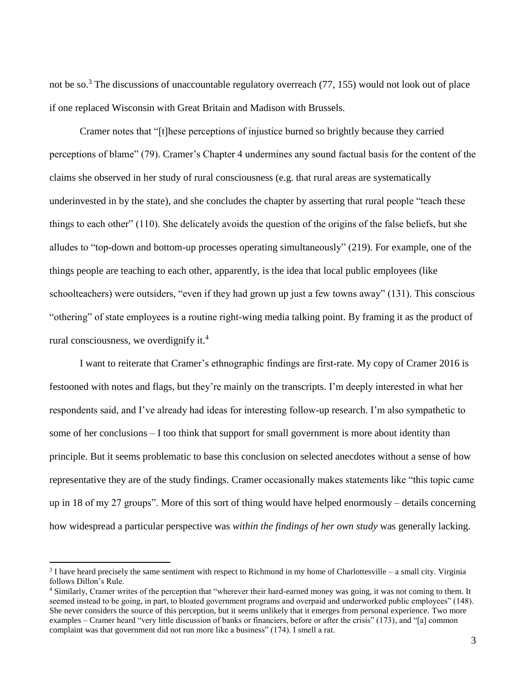not be so.<sup>3</sup> The discussions of unaccountable regulatory overreach  $(77, 155)$  would not look out of place if one replaced Wisconsin with Great Britain and Madison with Brussels.

Cramer notes that "[t]hese perceptions of injustice burned so brightly because they carried perceptions of blame" (79). Cramer's Chapter 4 undermines any sound factual basis for the content of the claims she observed in her study of rural consciousness (e.g. that rural areas are systematically underinvested in by the state), and she concludes the chapter by asserting that rural people "teach these things to each other" (110). She delicately avoids the question of the origins of the false beliefs, but she alludes to "top-down and bottom-up processes operating simultaneously" (219). For example, one of the things people are teaching to each other, apparently, is the idea that local public employees (like schoolteachers) were outsiders, "even if they had grown up just a few towns away" (131). This conscious "othering" of state employees is a routine right-wing media talking point. By framing it as the product of rural consciousness, we overdignify it.<sup>4</sup>

I want to reiterate that Cramer's ethnographic findings are first-rate. My copy of Cramer 2016 is festooned with notes and flags, but they're mainly on the transcripts. I'm deeply interested in what her respondents said, and I've already had ideas for interesting follow-up research. I'm also sympathetic to some of her conclusions – I too think that support for small government is more about identity than principle. But it seems problematic to base this conclusion on selected anecdotes without a sense of how representative they are of the study findings. Cramer occasionally makes statements like "this topic came up in 18 of my 27 groups". More of this sort of thing would have helped enormously – details concerning how widespread a particular perspective was *within the findings of her own study* was generally lacking.

 $\overline{a}$ 

 $3$  I have heard precisely the same sentiment with respect to Richmond in my home of Charlottesville – a small city. Virginia follows Dillon's Rule.

<sup>4</sup> Similarly, Cramer writes of the perception that "wherever their hard-earned money was going, it was not coming to them. It seemed instead to be going, in part, to bloated government programs and overpaid and underworked public employees" (148). She never considers the source of this perception, but it seems unlikely that it emerges from personal experience. Two more examples – Cramer heard "very little discussion of banks or financiers, before or after the crisis" (173), and "[a] common complaint was that government did not run more like a business" (174). I smell a rat.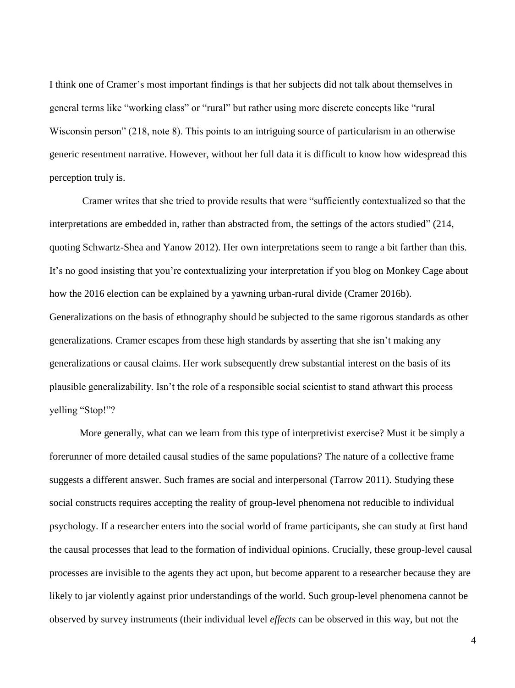I think one of Cramer's most important findings is that her subjects did not talk about themselves in general terms like "working class" or "rural" but rather using more discrete concepts like "rural Wisconsin person" (218, note 8). This points to an intriguing source of particularism in an otherwise generic resentment narrative. However, without her full data it is difficult to know how widespread this perception truly is.

Cramer writes that she tried to provide results that were "sufficiently contextualized so that the interpretations are embedded in, rather than abstracted from, the settings of the actors studied" (214, quoting Schwartz-Shea and Yanow 2012). Her own interpretations seem to range a bit farther than this. It's no good insisting that you're contextualizing your interpretation if you blog on Monkey Cage about how the 2016 election can be explained by a yawning urban-rural divide (Cramer 2016b). Generalizations on the basis of ethnography should be subjected to the same rigorous standards as other generalizations. Cramer escapes from these high standards by asserting that she isn't making any generalizations or causal claims. Her work subsequently drew substantial interest on the basis of its plausible generalizability. Isn't the role of a responsible social scientist to stand athwart this process yelling "Stop!"?

More generally, what can we learn from this type of interpretivist exercise? Must it be simply a forerunner of more detailed causal studies of the same populations? The nature of a collective frame suggests a different answer. Such frames are social and interpersonal (Tarrow 2011). Studying these social constructs requires accepting the reality of group-level phenomena not reducible to individual psychology. If a researcher enters into the social world of frame participants, she can study at first hand the causal processes that lead to the formation of individual opinions. Crucially, these group-level causal processes are invisible to the agents they act upon, but become apparent to a researcher because they are likely to jar violently against prior understandings of the world. Such group-level phenomena cannot be observed by survey instruments (their individual level *effects* can be observed in this way, but not the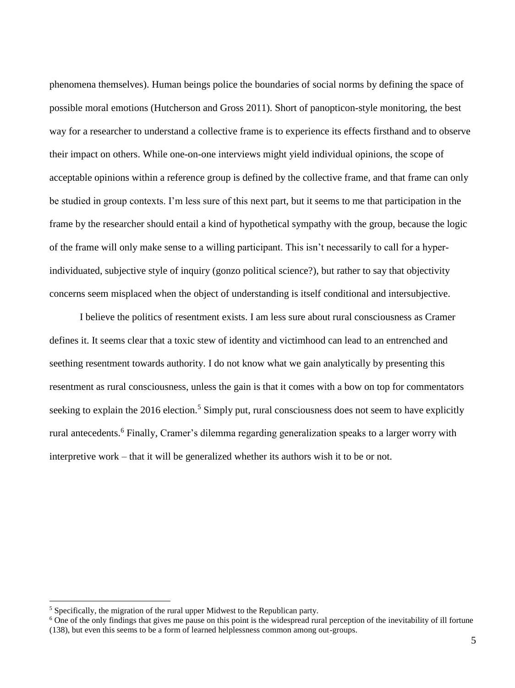phenomena themselves). Human beings police the boundaries of social norms by defining the space of possible moral emotions (Hutcherson and Gross 2011). Short of panopticon-style monitoring, the best way for a researcher to understand a collective frame is to experience its effects firsthand and to observe their impact on others. While one-on-one interviews might yield individual opinions, the scope of acceptable opinions within a reference group is defined by the collective frame, and that frame can only be studied in group contexts. I'm less sure of this next part, but it seems to me that participation in the frame by the researcher should entail a kind of hypothetical sympathy with the group, because the logic of the frame will only make sense to a willing participant. This isn't necessarily to call for a hyperindividuated, subjective style of inquiry (gonzo political science?), but rather to say that objectivity concerns seem misplaced when the object of understanding is itself conditional and intersubjective.

I believe the politics of resentment exists. I am less sure about rural consciousness as Cramer defines it. It seems clear that a toxic stew of identity and victimhood can lead to an entrenched and seething resentment towards authority. I do not know what we gain analytically by presenting this resentment as rural consciousness, unless the gain is that it comes with a bow on top for commentators seeking to explain the 2016 election.<sup>5</sup> Simply put, rural consciousness does not seem to have explicitly rural antecedents.<sup>6</sup> Finally, Cramer's dilemma regarding generalization speaks to a larger worry with interpretive work – that it will be generalized whether its authors wish it to be or not.

 $\ddot{\phantom{a}}$ 

<sup>5</sup> Specifically, the migration of the rural upper Midwest to the Republican party.

<sup>&</sup>lt;sup>6</sup> One of the only findings that gives me pause on this point is the widespread rural perception of the inevitability of ill fortune (138), but even this seems to be a form of learned helplessness common among out-groups.